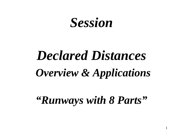# *Session*

# *Declared Distances Overview & Applications*

*"Runways with 8 Parts"*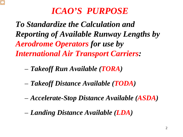

## *ICAO'S PURPOSE*

*To Standardize the Calculation and Reporting of Available Runway Lengths by Aerodrome Operators for use by International Air Transport Carriers:* 

– *Takeoff Run Available (TORA)* 

– *Takeoff Distance Available (TODA)* 

– *Accelerate-Stop Distance Available (ASDA)* 

– *Landing Distance Available (LDA)*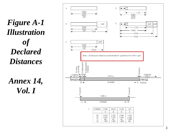*Figure A-1 Illustration of Declared Distances*

*Annex 14, Vol. I*



3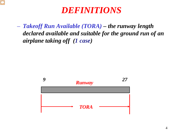

### *DEFINITIONS*

– *Takeoff Run Available (TORA) – the runway length declared available and suitable for the ground run of an airplane taking off (1 case)* 

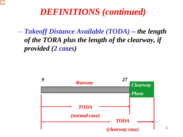### *DEFINITIONS (continued)*

– *Takeoff Distance Available (TODA) – the length of the TORA plus the length of the clearway, if provided (2 cases)* 

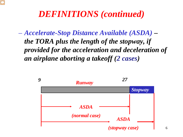## *DEFINITIONS (continued)*

– *Accelerate-Stop Distance Available (ASDA) – the TORA plus the length of the stopway, if provided for the acceleration and deceleration of an airplane aborting a takeoff (2 cases)* 

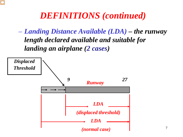### *DEFINITIONS (continued)*

– *Landing Distance Available (LDA) – the runway length declared available and suitable for landing an airplane (2 cases)* 

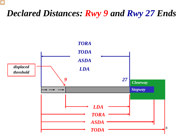### *Declared Distances: Rwy 9 and Rwy 27 Ends*

 $\sqrt{C}$ 

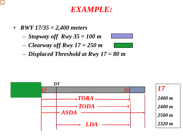#### $\overline{C}$

### *EXAMPLE:*

- *RWY 17/35 = 2,400 meters*
	- *Stopway off Rwy 35 = 100 m*
	- *Clearway off Rwy 17 = 250 m*
	- *Displaced Threshold at Rwy 17 = 80 m*

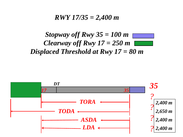### *RWY 17/35 = 2,400 m*

### *Stopway off Rwy 35 = 100 m Clearway off Rwy 17 = 250 m Displaced Threshold at Rwy 17 = 80 m*

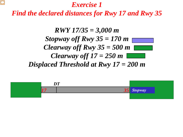### *Exercise 1*

*Find the declared distances for Rwy 17 and Rwy 35* 

*RWY 17/35 = 3,000 m Stopway off Rwy 35 = 170 m Clearway off Rwy 35 = 500 m Clearway off 17 = 250 m Displaced Threshold at Rwy 17 = 200 m*

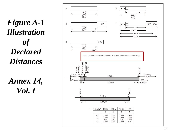*Figure A-1 Illustration of Declared Distances*

*Annex 14, Vol. I*



12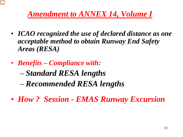### *Amendment to ANNEX 14, Volume I*

- *ICAO recognized the use of declared distance as one acceptable method to obtain Runway End Safety Areas (RESA)*
- *Benefits Compliance with:*  – *Standard RESA lengths* – *Recommended RESA lengths*
- *How ? Session EMAS Runway Excursion*